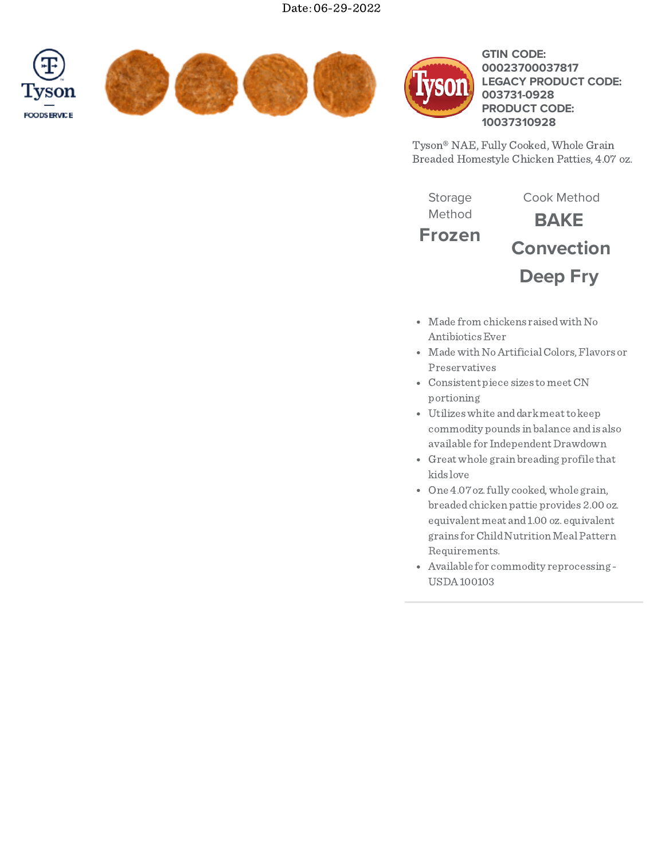





# **GTIN CODE: LEGACY PRODUCT CODE: PRODUCT CODE: 00023700037817 003731-0928 10037310928**

Tyson® NAE, Fully Cooked, Whole Grain Breaded Homestyle Chicken Patties, 4.07 oz.

**Frozen BAKE Convection Deep Fry** Storage Method Cook Method

- Made from chickens raisedwith No AntibioticsEver
- Made with No Artificial Colors, Flavors or Preservatives
- Consistent piece sizes tomeetCN portioning
- Utilizeswhite anddarkmeatto keep commodity pounds in balance andis also available for Independent Drawdown
- Greatwhole grain breading profile that kids love
- One 4.07 oz. fully cooked, whole grain, breadedchicken pattie provides 2.00 oz. equivalent meat and1.00 oz. equivalent grains forChildNutritionMealPattern Requirements.
- Available for commodity reprocessing USDA100103